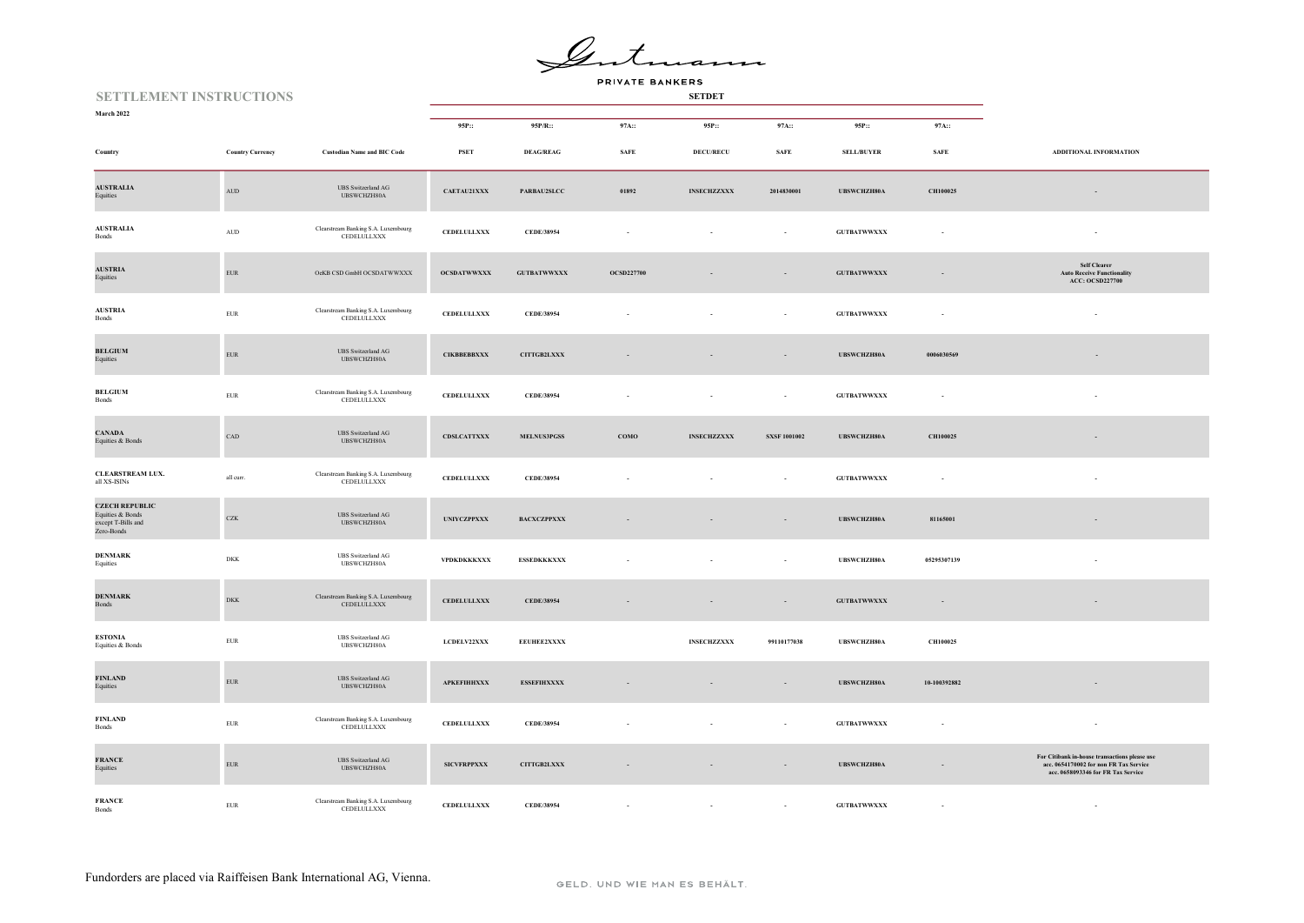Gute iann

| <b>SETTLEMENT INSTRUCTIONS</b>                                                   |                         |                                                    |                     |                    |                   |                    |                          |                     |              |                                                                                                                               |
|----------------------------------------------------------------------------------|-------------------------|----------------------------------------------------|---------------------|--------------------|-------------------|--------------------|--------------------------|---------------------|--------------|-------------------------------------------------------------------------------------------------------------------------------|
| March 2022                                                                       |                         |                                                    | 95P::               | 95P/R::            | 97A::             | 95P::              | 97A::                    | 95P::               | 97A::        |                                                                                                                               |
| Country                                                                          | <b>Country Currency</b> | <b>Custodian Name and BIC Code</b>                 | <b>PSET</b>         | <b>DEAG/REAG</b>   | <b>SAFE</b>       | <b>DECU/RECU</b>   | <b>SAFE</b>              | SELL/BUYER          | <b>SAFE</b>  | ADDITIONAL INFORMATION                                                                                                        |
| <b>AUSTRALIA</b><br>Equities                                                     | $\mbox{AUD}$            | <b>UBS</b> Switzerland AG<br>UBSWCHZH80A           | CAETAU21XXX         | PARBAU2SLCC        | 01892             | <b>INSECHZZXXX</b> | 2014830001               | UBSWCHZH80A         | CH100025     | $\overline{\phantom{a}}$                                                                                                      |
| <b>AUSTRALIA</b><br>Bonds                                                        | $\mbox{\rm AUD}$        | Clearstream Banking S.A. Luxembourg<br>CEDELULLXXX | <b>CEDELULLXXX</b>  | CEDE/38954         |                   |                    | ÷.                       | <b>GUTBATWWXXX</b>  | ÷,           | $\sim$                                                                                                                        |
| <b>AUSTRIA</b><br>Equities                                                       | ${\rm EUR}$             | OeKB CSD GmbH OCSDATWWXXX                          | OCSDATWWXXX         | <b>GUTBATWWXXX</b> | <b>OCSD227700</b> |                    |                          | <b>GUTBATWWXXX</b>  |              | Self Clearer<br><b>Auto Receive Functionality</b><br>ACC: OCSD227700                                                          |
| <b>AUSTRIA</b><br>Bonds                                                          | ${\tt EUR}$             | Clearstream Banking S.A. Luxembourg<br>CEDELULLXXX | ${\bf CEDELULLXXX}$ | CEDE/38954         |                   | $\sim$             | $\overline{\phantom{a}}$ | <b>GUTBATWWXXX</b>  | $\sim$       | $\sim$                                                                                                                        |
| <b>BELGIUM</b><br>Equities                                                       | ${\rm EUR}$             | UBS Switzerland AG<br>UBSWCHZH80A                  | <b>CIKBBEBBXXX</b>  | CITTGB2LXXX        |                   |                    |                          | UBSWCHZH80A         | 0006030569   |                                                                                                                               |
| <b>BELGIUM</b><br>Bonds                                                          | ${\rm EUR}$             | Clearstream Banking S.A. Luxembourg<br>CEDELULLXXX | <b>CEDELULLXXX</b>  | CEDE/38954         |                   |                    | $\sim$                   | ${\tt GUTBATWWXXX}$ |              |                                                                                                                               |
| <b>CANADA</b><br>Equities & Bonds                                                | CAD                     | <b>UBS</b> Switzerland AG<br>UBSWCHZH80A           | CDSLCATTXXX         | <b>MELNUS3PGSS</b> | COMO              | <b>INSECHZZXXX</b> | <b>SXSF 1001002</b>      | <b>UBSWCHZH80A</b>  | CH100025     | $\sim$                                                                                                                        |
| CLEARSTREAM LUX.<br>all XS-ISINs                                                 | all curr.               | Clearstream Banking S.A. Luxembourg<br>CEDELULLXXX | <b>CEDELULLXXX</b>  | CEDE/38954         |                   |                    | $\sim$                   | <b>GUTBATWWXXX</b>  |              |                                                                                                                               |
| <b>CZECH REPUBLIC</b><br>Equities $\&$ Bonds<br>except T-Bills and<br>Zero-Bonds | CZK                     | UBS Switzerland AG<br>UBSWCHZH80A                  | <b>UNIYCZPPXXX</b>  | BACXCZPPXXX        |                   |                    | $\sim$                   | UBSWCHZH80A         | 81165001     |                                                                                                                               |
| <b>DENMARK</b><br>Equities                                                       | DKK                     | <b>UBS</b> Switzerland AG<br>UBSWCHZH80A           | VPDKDKKKXXX         | <b>ESSEDKKKXXX</b> |                   |                    | $\sim$                   | UBSWCHZH80A         | 05295307139  |                                                                                                                               |
| <b>DENMARK</b><br>Bonds                                                          | <b>DKK</b>              | Clearstream Banking S.A. Luxembourg<br>CEDELULLXXX | CEDELULLXXX         | CEDE/38954         |                   | $\sim$             | $\sim$                   | <b>GUTBATWWXXX</b>  | $\sim$       |                                                                                                                               |
| <b>ESTONIA</b><br>Equities & Bonds                                               | EUR                     | <b>UBS</b> Switzerland AG<br>UBSWCHZH80A           | LCDELV22XXX         | EEUHEE2XXXX        |                   | <b>INSECHZZXXX</b> | 99110177038              | UBSWCHZH80A         | CH100025     |                                                                                                                               |
| <b>FINLAND</b><br>Equities                                                       | ${\rm EUR}$             | <b>UBS</b> Switzerland AG<br>UBSWCHZH80A           | <b>APKEFIHHXXX</b>  | <b>ESSEFIHXXXX</b> |                   |                    | $\overline{\phantom{a}}$ | UBSWCHZH80A         | 10-100392882 |                                                                                                                               |
| <b>FINLAND</b><br>Bonds                                                          | EUR                     | Clearstream Banking S.A. Luxembourg<br>CEDELULLXXX | <b>CEDELULLXXX</b>  | CEDE/38954         |                   |                    |                          | ${\tt GUTBATWWXXX}$ |              |                                                                                                                               |
| <b>FRANCE</b><br>Equities                                                        | ${\rm EUR}$             | <b>UBS</b> Switzerland AG<br>UBSWCHZH80A           | <b>SICVFRPPXXX</b>  | CITTGB2LXXX        |                   | $\sim$             | $\overline{\phantom{a}}$ | UBSWCHZH80A         | $\sim$       | For Citibank in-house transactions please use<br>acc. 0654170002 for non FR Tax Service<br>acc. 0658093346 for FR Tax Service |
| <b>FRANCE</b><br>Bonds                                                           | <b>EUR</b>              | Clearstream Banking S.A. Luxembourg<br>CEDELULLXXX | <b>CEDELULLXXX</b>  | CEDE/38954         |                   |                    | $\sim$                   | <b>GUTBATWWXXX</b>  |              | $\sim$                                                                                                                        |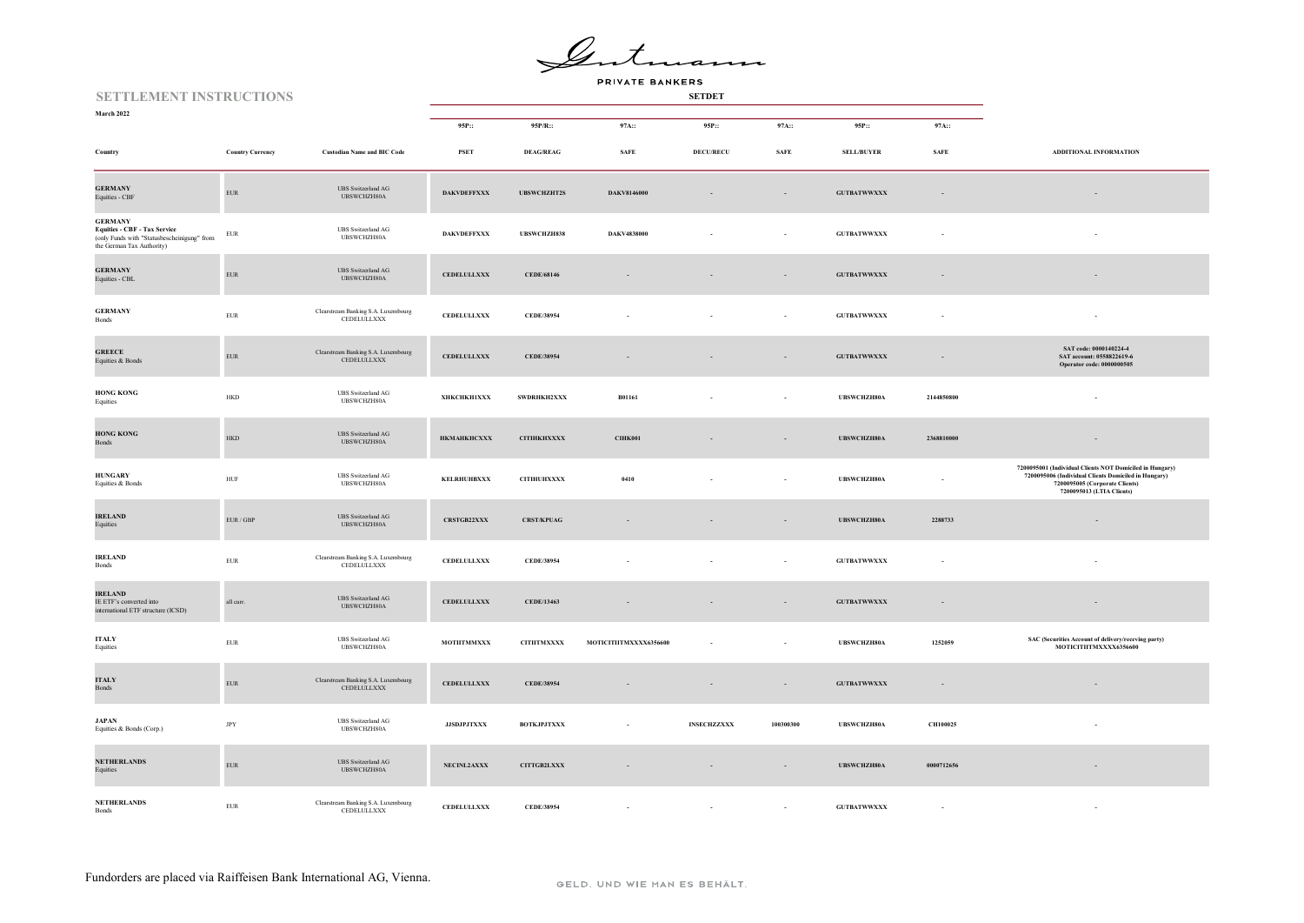Gente iann

| <b>SETTLEMENT INSTRUCTIONS</b>                                                                                                    |                             |                                                                                                                      |                    |                    |                                |                    |             |                     |                          |                                                                                                                                                                                 |
|-----------------------------------------------------------------------------------------------------------------------------------|-----------------------------|----------------------------------------------------------------------------------------------------------------------|--------------------|--------------------|--------------------------------|--------------------|-------------|---------------------|--------------------------|---------------------------------------------------------------------------------------------------------------------------------------------------------------------------------|
| March 2022                                                                                                                        |                             |                                                                                                                      | 95P::              | 95P/R::            | 97A::                          | 95P::              | 97A::       | 95P::               | 97A::                    |                                                                                                                                                                                 |
| Country                                                                                                                           | <b>Country Currency</b>     | <b>Custodian Name and BIC Code</b>                                                                                   | PSET               | <b>DEAG/REAG</b>   | $\operatorname{\mathbf{SAFE}}$ | <b>DECU/RECU</b>   | <b>SAFE</b> | SELL/BUYER          | <b>SAFE</b>              | ADDITIONAL INFORMATION                                                                                                                                                          |
| <b>GERMANY</b><br>Equities - CBF                                                                                                  | ${\rm EUR}$                 | <b>UBS</b> Switzerland AG<br>UBSWCHZH80A                                                                             | <b>DAKVDEFFXXX</b> | <b>UBSWCHZHT2S</b> | DAKV8146000                    |                    | $\sim$      | <b>GUTBATWWXXX</b>  | $\sim$                   |                                                                                                                                                                                 |
| <b>GERMANY</b><br><b>Equities - CBF - Tax Service</b><br>(only Funds with "Statusbescheinigung" from<br>the German Tax Authority) | EUR                         | <b>UBS</b> Switzerland AG<br>UBSWCHZH80A                                                                             | <b>DAKVDEFFXXX</b> | UBSWCHZH838        | DAKV4838000                    |                    | $\sim$      | <b>GUTBATWWXXX</b>  | $\overline{\phantom{a}}$ |                                                                                                                                                                                 |
| <b>GERMANY</b><br>Equities - CBL                                                                                                  | ${\rm EUR}$                 | <b>UBS</b> Switzerland AG<br>UBSWCHZH80A                                                                             | <b>CEDELULLXXX</b> | CEDE/68146         |                                |                    |             | <b>GUTBATWWXXX</b>  | $\sim$                   |                                                                                                                                                                                 |
| <b>GERMANY</b><br>Bonds                                                                                                           | ${\tt EUR}$                 | $\begin{minipage}{.4\linewidth} \textbf{Clearstream Banking S.A. Luxembourg} \\ \textbf{CEDELULLXXX} \end{minipage}$ | <b>CEDELULLXXX</b> | CEDE/38954         |                                |                    |             | <b>GUTBATWWXXX</b>  |                          |                                                                                                                                                                                 |
| <b>GREECE</b><br>Equities & Bonds                                                                                                 | ${\rm EUR}$                 | Clearstream Banking S.A. Luxembourg<br>CEDELULLXXX                                                                   | <b>CEDELULLXXX</b> | CEDE/38954         |                                |                    |             | <b>GUTBATWWXXX</b>  | $\overline{\phantom{a}}$ | SAT code: 0000140224-4<br>SAT account: 0558822619-6<br>Operator code: 0000000505                                                                                                |
| <b>HONG KONG</b><br>Equities                                                                                                      | <b>HKD</b>                  | <b>UBS</b> Switzerland AG<br>UBSWCHZH80A                                                                             | <b>ХНКСНКН1ХХХ</b> | SWDRHKH2XXX        | B01161                         |                    |             | UBSWCHZH80A         | 2144850800               |                                                                                                                                                                                 |
| <b>HONG KONG</b><br>Bonds                                                                                                         | <b>HKD</b>                  | <b>UBS</b> Switzerland AG<br>URSWCHZH80A                                                                             | НКМАНКНСХХХ        | <b>CITIHKHXXXX</b> | <b>CIHK001</b>                 |                    | $\sim$      | <b>UBSWCHZH80A</b>  | 2368810000               |                                                                                                                                                                                 |
| <b>HUNGARY</b><br>Equities & Bonds                                                                                                | ${\rm HUF}$                 | <b>UBS</b> Switzerland AG<br>UBSWCHZH80A                                                                             | <b>KELRHUHBXXX</b> | <b>CITIHUHXXXX</b> | 0410                           |                    |             | UBSWCHZH80A         | $\sim$                   | 7200095001 (Individual Clients NOT Domiciled in Hungary)<br>7200095006 (Individual Clients Domiciled in Hungary)<br>7200095005 (Corporate Clients)<br>7200095013 (LTIA Clients) |
| <b>IRELAND</b><br>Equities                                                                                                        | $\text{EUR}$ / $\text{GBP}$ | <b>UBS</b> Switzerland AG<br>UBSWCHZH80A                                                                             | <b>CRSTGB22XXX</b> | <b>CRST/KPUAG</b>  |                                |                    |             | UBSWCHZH80A         | 2288733                  |                                                                                                                                                                                 |
| <b>IRELAND</b><br>Bonds                                                                                                           | ${\rm EUR}$                 | Clearstream Banking S.A. Luxembourg<br>CEDELULLXXX                                                                   | <b>CEDELULLXXX</b> | CEDE/38954         |                                |                    |             | <b>GUTBATWWXXX</b>  |                          |                                                                                                                                                                                 |
| <b>IRELAND</b><br>IE ETF's converted into<br>international ETF structure (ICSD)                                                   | all curr.                   | <b>UBS</b> Switzerland AG<br>UBSWCHZH80A                                                                             | <b>CEDELULLXXX</b> | CEDE/13463         |                                |                    |             | ${\tt GUTBATWWXXX}$ | $\omega$                 |                                                                                                                                                                                 |
| <b>ITALY</b><br>Equities                                                                                                          | ${\rm EUR}$                 | <b>UBS</b> Switzerland AG<br>UBSWCHZH80A                                                                             | MOTIITMMXXX        | <b>CITIITMXXXX</b> | MOTICITIITMXXXX6356600         |                    |             | UBSWCHZH80A         | 1252059                  | SAC (Securities Account of delivery/receving party)<br>MOTICITIITMXXXX6356600                                                                                                   |
| <b>ITALY</b><br>Bonds                                                                                                             | ${\rm EUR}$                 | Clearstream Banking S.A. Luxembourg<br>CEDELULLXXX                                                                   | <b>CEDELULLXXX</b> | CEDE/38954         |                                |                    |             | <b>GUTBATWWXXX</b>  | $\sim$                   |                                                                                                                                                                                 |
| <b>JAPAN</b><br>Equities & Bonds (Corp.)                                                                                          | $_{\rm JPY}$                | <b>UBS</b> Switzerland AG<br>UBSWCHZH80A                                                                             | <b>JJSDJPJTXXX</b> | <b>BOTKJPJTXXX</b> |                                | <b>INSECHZZXXX</b> | 100300300   | UBSWCHZH80A         | CH100025                 |                                                                                                                                                                                 |
| <b>NETHERLANDS</b><br>Equities                                                                                                    | ${\rm EUR}$                 | <b>UBS</b> Switzerland AG<br>UBSWCHZH80A                                                                             | NECINL2AXXX        | CITTGB2LXXX        |                                |                    | $\sim$      | UBSWCHZH80A         | 0000712656               |                                                                                                                                                                                 |
| <b>NETHERLANDS</b><br><b>Bonds</b>                                                                                                | <b>EUR</b>                  | Clearstream Banking S.A. Luxembourg<br>CEDELULLXXX                                                                   | <b>CEDELULLXXX</b> | CEDE/38954         |                                |                    |             | <b>GUTBATWWXXX</b>  | $\sim$                   | $\sim$                                                                                                                                                                          |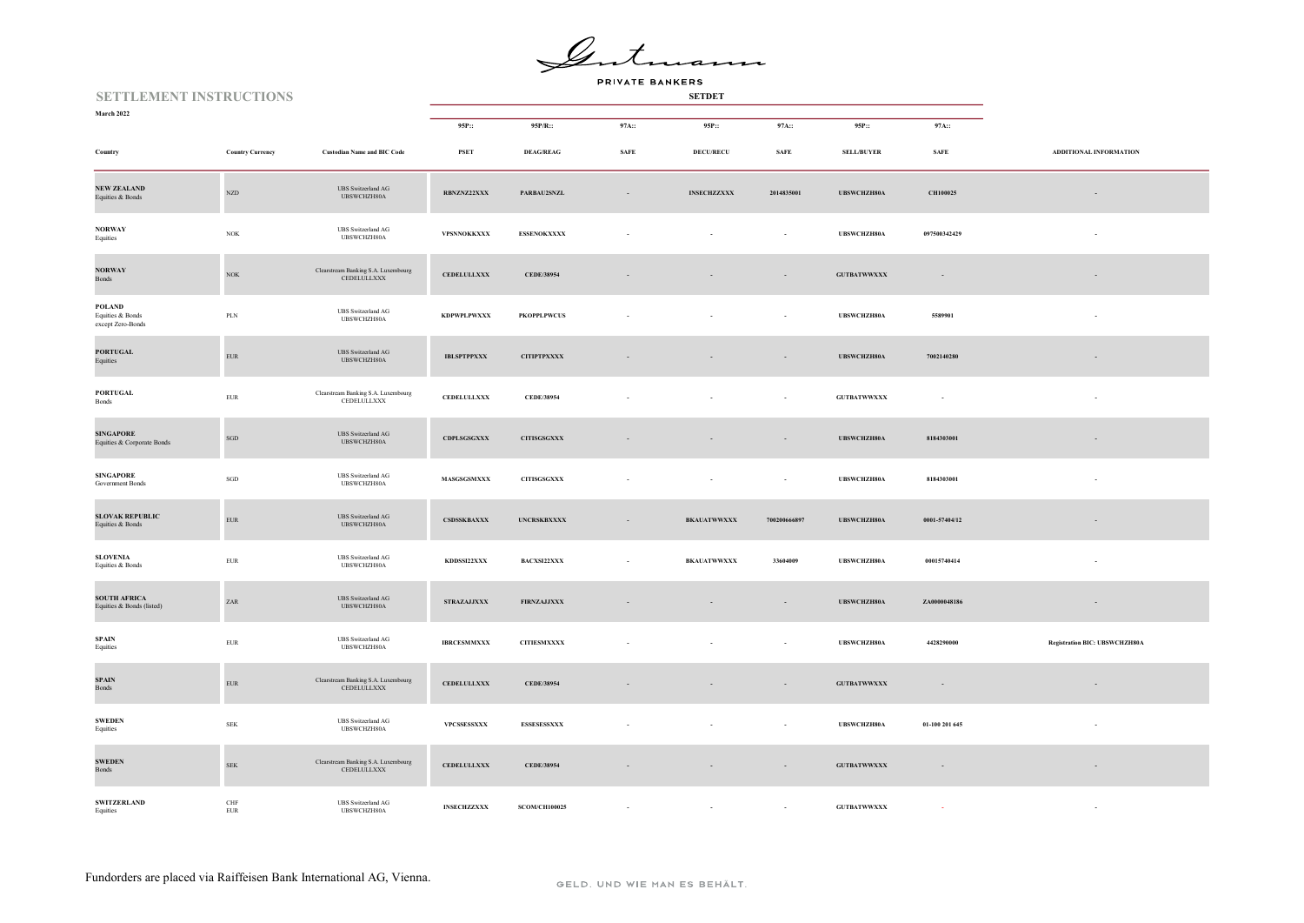Gente ann

| <b>SETTLEMENT INSTRUCTIONS</b>                   |                             |                                                    |                                                      |                      |             |                    |                              |                      |                              |                               |
|--------------------------------------------------|-----------------------------|----------------------------------------------------|------------------------------------------------------|----------------------|-------------|--------------------|------------------------------|----------------------|------------------------------|-------------------------------|
| <b>March 2022</b>                                |                             |                                                    | 95P::                                                | 95P/R::              | 97A::       | 95P::              | 97A::                        | 95P::                | 97A::                        |                               |
| Country                                          | <b>Country Currency</b>     | <b>Custodian Name and BIC Code</b>                 | PSET                                                 | <b>DEAG/REAG</b>     | <b>SAFE</b> | <b>DECU/RECU</b>   | $\ensuremath{\mathbf{SAFE}}$ | <b>SELL/BUYER</b>    | $\ensuremath{\mathbf{SAFE}}$ | ADDITIONAL INFORMATION        |
| <b>NEW ZEALAND</b><br>Equities & Bonds           | $_{\rm NZD}$                | <b>UBS</b> Switzerland AG<br>UBSWCHZH80A           | RBNZNZ22XXX                                          | PARBAU2SNZL          | $\sim$      | <b>INSECHZZXXX</b> | 2014835001                   | UBSWCHZH80A          | CH100025                     | $\sim$                        |
| <b>NORWAY</b><br>Equities                        | $_{\mathrm{NOK}}$           | <b>UBS</b> Switzerland AG<br>UBSWCHZH80A           | VPSNNOKKXXX                                          | <b>ESSENOKXXXX</b>   |             |                    | $\sim$                       | UBSWCHZH80A          | 097500342429                 | $\sim$                        |
| <b>NORWAY</b><br>Bonds                           | $_{\mathrm{NOK}}$           | Clearstream Banking S.A. Luxembourg<br>CEDELULLXXX | <b>CEDELULLXXX</b>                                   | CEDE/38954           | $\sim$      |                    | $\sim$                       | <b>GUTBATWWXXX</b>   | $\sim$                       | $\overline{\phantom{a}}$      |
| POLAND<br>Equities & Bonds<br>except Zero-Bonds  | $\mbox{PLN}$                | <b>UBS</b> Switzerland AG<br>UBSWCHZH80A           | <b>KDPWPLPWXXX</b>                                   | <b>PKOPPLPWCUS</b>   |             |                    | ÷,                           | UBSWCHZH80A          | 5589901                      |                               |
| <b>PORTUGAL</b><br>Equities                      | ${\rm EUR}$                 | <b>UBS</b> Switzerland AG<br>UBSWCHZH80A           | <b>IBLSPTPPXXX</b>                                   | ${\bf CITIPTPXXXX}$  |             |                    |                              | UBSWCHZH80A          | 7002140280                   |                               |
| <b>PORTUGAL</b><br>Bonds                         | ${\rm EUR}$                 | Clearstream Banking S.A. Luxembourg<br>CEDELULLXXX | <b>CEDELULLXXX</b>                                   | CEDE/38954           |             |                    |                              | <b>GUTBATWWXXX</b>   | $\sim$                       |                               |
| <b>SINGAPORE</b><br>Equities & Corporate Bonds   | $_{\rm SGD}$                | UBS Switzerland AG<br>UBSWCHZH80A                  | CDPLSGSGXXX                                          | $\sf CITISGSGXXX$    |             |                    | $\sim$                       | UBSWCHZH80A          | 8184303001                   | $\sim$                        |
| <b>SINGAPORE</b><br>Government Bonds             | $_{\rm SGD}$                | <b>UBS</b> Switzerland AG<br>UBSWCHZH80A           | MASGSGSMXXX                                          | <b>CITISGSGXXX</b>   |             |                    | $\sim$                       | <b>UBSWCHZH80A</b>   | 8184303001                   | $\sim$                        |
| <b>SLOVAK REPUBLIC</b><br>Equities & Bonds       | ${\rm EUR}$                 | <b>UBS</b> Switzerland AG<br>UBSWCHZH80A           | CSDSSKBAXXX                                          | <b>UNCRSKBXXXX</b>   | $\sim$      | <b>BKAUATWWXXX</b> | 700200666897                 | UBSWCHZH80A          | 0001-57404/12                | ٠                             |
| <b>SLOVENIA</b><br>Equities & Bonds              | ${\rm EUR}$                 | UBS Switzerland AG<br>UBSWCHZH80A                  | KDDSSI22XXX                                          | <b>BACXSI22XXX</b>   | ×.          | <b>BKAUATWWXXX</b> | 33604009                     | UBSWCHZH80A          | 00015740414                  |                               |
| <b>SOUTH AFRICA</b><br>Equities & Bonds (listed) | $\mbox{ZAR}$                | <b>UBS</b> Switzerland AG<br>UBSWCHZH80A           | $\operatorname{STRAZAJJXXX}$                         | <b>FIRNZAJJXXX</b>   |             |                    | $\sim$                       | UBSWCHZH80A          | ZA0000048186                 |                               |
| <b>SPAIN</b><br>Equities                         | ${\rm EUR}$                 | <b>UBS</b> Switzerland AG<br>UBSWCHZH80A           | $\begin{array}{ll} \textbf{IBRCESMMXXX} \end{array}$ | <b>CITIESMXXXX</b>   |             |                    | $\sim$                       | <b>UBSWCHZH80A</b>   | 4428290000                   | Registration BIC: UBSWCHZH80A |
| <b>SPAIN</b><br>Bonds                            | ${\rm EUR}$                 | Clearstream Banking S.A. Luxembourg<br>CEDELULLXXX | <b>CEDELULLXXX</b>                                   | CEDE/38954           |             |                    | $\sim$                       | $\qquad$ GUTBATWWXXX | $\sim$                       |                               |
| <b>SWEDEN</b><br>Equities                        | ${\rm SEK}$                 | UBS Switzerland AG<br>UBSWCHZH80A                  | VPCSSESSXXX                                          | <b>ESSESESSXXX</b>   |             |                    | $\sim$                       | UBSWCHZH80A          | 01-100 201 645               |                               |
| <b>SWEDEN</b><br>Bonds                           | ${\rm SEK}$                 | Clearstream Banking S.A. Luxembourg<br>CEDELULLXXX | <b>CEDELULLXXX</b>                                   | CEDE/38954           |             |                    |                              | $\qquad$ GUTBATWWXXX | $\sim$                       | $\overline{\phantom{a}}$      |
| <b>SWITZERLAND</b><br>Equities                   | $\mbox{CHF}$<br>${\rm EUR}$ | <b>UBS</b> Switzerland AG<br>UBSWCHZH80A           | <b>INSECHZZXXX</b>                                   | <b>SCOM/CH100025</b> |             |                    |                              | <b>GUTBATWWXXX</b>   |                              |                               |